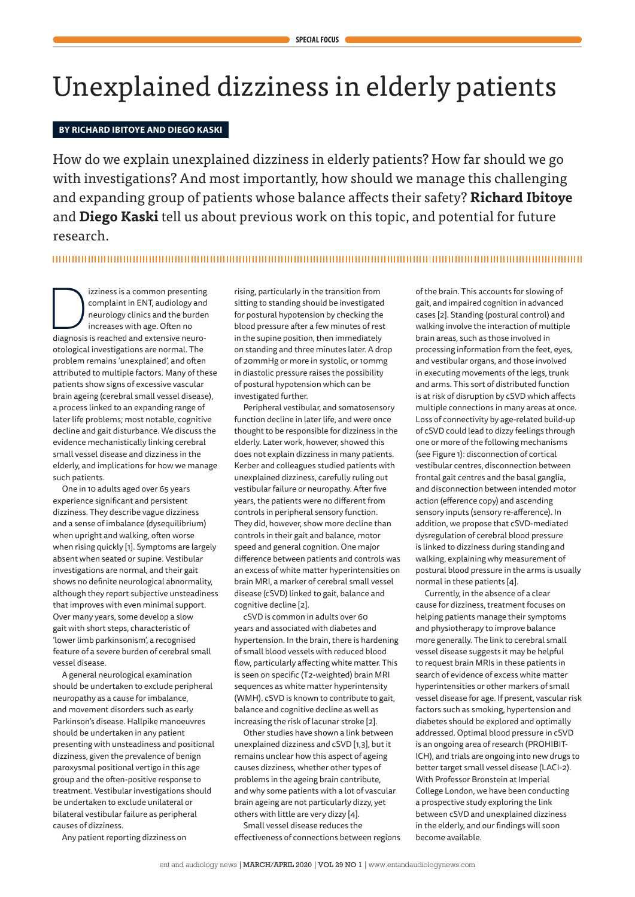# Unexplained dizziness in elderly patients

## **BY RICHARD IBITOYE AND DIEGO KASKI**

How do we explain unexplained dizziness in elderly patients? How far should we go with investigations? And most importantly, how should we manage this challenging and expanding group of patients whose balance affects their safety? **Richard Ibitoye** and **Diego Kaski** tell us about previous work on this topic, and potential for future research.

Izziness is a common presenting<br>
complaint in ENT, audiology and<br>
neurology clinics and the burden<br>
increases with age. Often no<br>
diagnosis is reached and extensive neurocomplaint in ENT, audiology and neurology clinics and the burden increases with age. Often no otological investigations are normal. The problem remains 'unexplained', and often attributed to multiple factors. Many of these patients show signs of excessive vascular brain ageing (cerebral small vessel disease), a process linked to an expanding range of later life problems; most notable, cognitive decline and gait disturbance. We discuss the evidence mechanistically linking cerebral small vessel disease and dizziness in the elderly, and implications for how we manage such patients.

One in 10 adults aged over 65 years experience significant and persistent dizziness. They describe vague dizziness and a sense of imbalance (dysequilibrium) when upright and walking, often worse when rising quickly [1]. Symptoms are largely absent when seated or supine. Vestibular investigations are normal, and their gait shows no definite neurological abnormality, although they report subjective unsteadiness that improves with even minimal support. Over many years, some develop a slow gait with short steps, characteristic of 'lower limb parkinsonism', a recognised feature of a severe burden of cerebral small vessel disease.

A general neurological examination should be undertaken to exclude peripheral neuropathy as a cause for imbalance, and movement disorders such as early Parkinson's disease. Hallpike manoeuvres should be undertaken in any patient presenting with unsteadiness and positional dizziness, given the prevalence of benign paroxysmal positional vertigo in this age group and the often-positive response to treatment. Vestibular investigations should be undertaken to exclude unilateral or bilateral vestibular failure as peripheral causes of dizziness.

Any patient reporting dizziness on

rising, particularly in the transition from sitting to standing should be investigated for postural hypotension by checking the blood pressure after a few minutes of rest in the supine position, then immediately on standing and three minutes later. A drop of 20mmHg or more in systolic, or 10mmg in diastolic pressure raises the possibility of postural hypotension which can be investigated further.

Peripheral vestibular, and somatosensory function decline in later life, and were once thought to be responsible for dizziness in the elderly. Later work, however, showed this does not explain dizziness in many patients. Kerber and colleagues studied patients with unexplained dizziness, carefully ruling out vestibular failure or neuropathy. After five years, the patients were no different from controls in peripheral sensory function. They did, however, show more decline than controls in their gait and balance, motor speed and general cognition. One major difference between patients and controls was an excess of white matter hyperintensities on brain MRI, a marker of cerebral small vessel disease (cSVD) linked to gait, balance and cognitive decline [2].

cSVD is common in adults over 60 years and associated with diabetes and hypertension. In the brain, there is hardening of small blood vessels with reduced blood flow, particularly affecting white matter. This is seen on specific (T2-weighted) brain MRI sequences as white matter hyperintensity (WMH). cSVD is known to contribute to gait, balance and cognitive decline as well as increasing the risk of lacunar stroke [2].

Other studies have shown a link between unexplained dizziness and cSVD [1,3], but it remains unclear how this aspect of ageing causes dizziness, whether other types of problems in the ageing brain contribute, and why some patients with a lot of vascular brain ageing are not particularly dizzy, yet others with little are very dizzy [4].

Small vessel disease reduces the effectiveness of connections between regions of the brain. This accounts for slowing of gait, and impaired cognition in advanced cases [2]. Standing (postural control) and walking involve the interaction of multiple brain areas, such as those involved in processing information from the feet, eyes, and vestibular organs, and those involved in executing movements of the legs, trunk and arms. This sort of distributed function is at risk of disruption by cSVD which affects multiple connections in many areas at once. Loss of connectivity by age-related build-up of cSVD could lead to dizzy feelings through one or more of the following mechanisms (see Figure 1): disconnection of cortical vestibular centres, disconnection between frontal gait centres and the basal ganglia, and disconnection between intended motor action (efference copy) and ascending sensory inputs (sensory re-afference). In addition, we propose that cSVD-mediated dysregulation of cerebral blood pressure is linked to dizziness during standing and walking, explaining why measurement of postural blood pressure in the arms is usually normal in these patients [4].

Currently, in the absence of a clear cause for dizziness, treatment focuses on helping patients manage their symptoms and physiotherapy to improve balance more generally. The link to cerebral small vessel disease suggests it may be helpful to request brain MRIs in these patients in search of evidence of excess white matter hyperintensities or other markers of small vessel disease for age. If present, vascular risk factors such as smoking, hypertension and diabetes should be explored and optimally addressed. Optimal blood pressure in cSVD is an ongoing area of research (PROHIBIT-ICH), and trials are ongoing into new drugs to better target small vessel disease (LACI-2). With Professor Bronstein at Imperial College London, we have been conducting a prospective study exploring the link between cSVD and unexplained dizziness in the elderly, and our findings will soon become available.